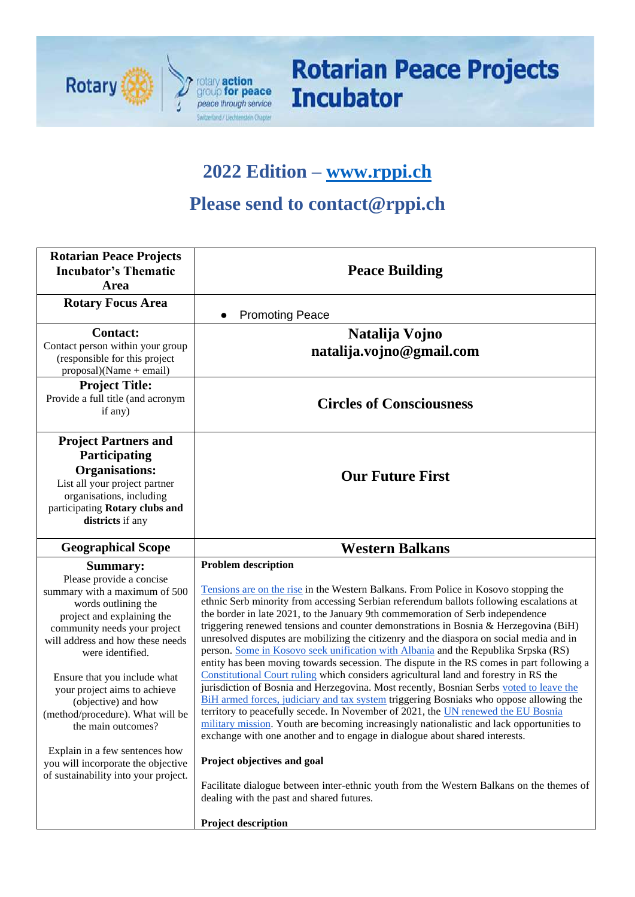

# **Rotarian Peace Projects Incubator**

### **2022 Edition – [www.rppi.ch](http://www.rppi.ch/)**

## **Please send to contact@rppi.ch**

| <b>Rotarian Peace Projects</b><br><b>Incubator's Thematic</b><br>Area                                                                                                                                                                                                                                                                                                                                                                                                                      | <b>Peace Building</b>                                                                                                                                                                                                                                                                                                                                                                                                                                                                                                                                                                                                                                                                                                                                                                                                                                                                                                                                                                                                                                                                                                                                                                                                                                                                                                                                                                                                     |  |  |  |  |
|--------------------------------------------------------------------------------------------------------------------------------------------------------------------------------------------------------------------------------------------------------------------------------------------------------------------------------------------------------------------------------------------------------------------------------------------------------------------------------------------|---------------------------------------------------------------------------------------------------------------------------------------------------------------------------------------------------------------------------------------------------------------------------------------------------------------------------------------------------------------------------------------------------------------------------------------------------------------------------------------------------------------------------------------------------------------------------------------------------------------------------------------------------------------------------------------------------------------------------------------------------------------------------------------------------------------------------------------------------------------------------------------------------------------------------------------------------------------------------------------------------------------------------------------------------------------------------------------------------------------------------------------------------------------------------------------------------------------------------------------------------------------------------------------------------------------------------------------------------------------------------------------------------------------------------|--|--|--|--|
| <b>Rotary Focus Area</b>                                                                                                                                                                                                                                                                                                                                                                                                                                                                   | <b>Promoting Peace</b><br>$\bullet$                                                                                                                                                                                                                                                                                                                                                                                                                                                                                                                                                                                                                                                                                                                                                                                                                                                                                                                                                                                                                                                                                                                                                                                                                                                                                                                                                                                       |  |  |  |  |
| <b>Contact:</b><br>Contact person within your group<br>(responsible for this project<br>$proposal)(Name + email)$                                                                                                                                                                                                                                                                                                                                                                          | Natalija Vojno<br>natalija.vojno@gmail.com                                                                                                                                                                                                                                                                                                                                                                                                                                                                                                                                                                                                                                                                                                                                                                                                                                                                                                                                                                                                                                                                                                                                                                                                                                                                                                                                                                                |  |  |  |  |
| <b>Project Title:</b><br>Provide a full title (and acronym<br>if any)                                                                                                                                                                                                                                                                                                                                                                                                                      | <b>Circles of Consciousness</b>                                                                                                                                                                                                                                                                                                                                                                                                                                                                                                                                                                                                                                                                                                                                                                                                                                                                                                                                                                                                                                                                                                                                                                                                                                                                                                                                                                                           |  |  |  |  |
| <b>Project Partners and</b><br>Participating<br><b>Organisations:</b><br>List all your project partner<br>organisations, including<br>participating Rotary clubs and<br>districts if any                                                                                                                                                                                                                                                                                                   | <b>Our Future First</b>                                                                                                                                                                                                                                                                                                                                                                                                                                                                                                                                                                                                                                                                                                                                                                                                                                                                                                                                                                                                                                                                                                                                                                                                                                                                                                                                                                                                   |  |  |  |  |
| <b>Geographical Scope</b>                                                                                                                                                                                                                                                                                                                                                                                                                                                                  | <b>Western Balkans</b>                                                                                                                                                                                                                                                                                                                                                                                                                                                                                                                                                                                                                                                                                                                                                                                                                                                                                                                                                                                                                                                                                                                                                                                                                                                                                                                                                                                                    |  |  |  |  |
| <b>Summary:</b><br>Please provide a concise<br>summary with a maximum of 500<br>words outlining the<br>project and explaining the<br>community needs your project<br>will address and how these needs<br>were identified.<br>Ensure that you include what<br>your project aims to achieve<br>(objective) and how<br>(method/procedure). What will be<br>the main outcomes?<br>Explain in a few sentences how<br>you will incorporate the objective<br>of sustainability into your project. | <b>Problem description</b><br>Tensions are on the rise in the Western Balkans. From Police in Kosovo stopping the<br>ethnic Serb minority from accessing Serbian referendum ballots following escalations at<br>the border in late 2021, to the January 9th commemoration of Serb independence<br>triggering renewed tensions and counter demonstrations in Bosnia & Herzegovina (BiH)<br>unresolved disputes are mobilizing the citizenry and the diaspora on social media and in<br>person. Some in Kosovo seek unification with Albania and the Republika Srpska (RS)<br>entity has been moving towards secession. The dispute in the RS comes in part following a<br>Constitutional Court ruling which considers agricultural land and forestry in RS the<br>jurisdiction of Bosnia and Herzegovina. Most recently, Bosnian Serbs voted to leave the<br>BiH armed forces, judiciary and tax system triggering Bosniaks who oppose allowing the<br>territory to peacefully secede. In November of 2021, the UN renewed the EU Bosnia<br>military mission. Youth are becoming increasingly nationalistic and lack opportunities to<br>exchange with one another and to engage in dialogue about shared interests.<br>Project objectives and goal<br>Facilitate dialogue between inter-ethnic youth from the Western Balkans on the themes of<br>dealing with the past and shared futures.<br><b>Project description</b> |  |  |  |  |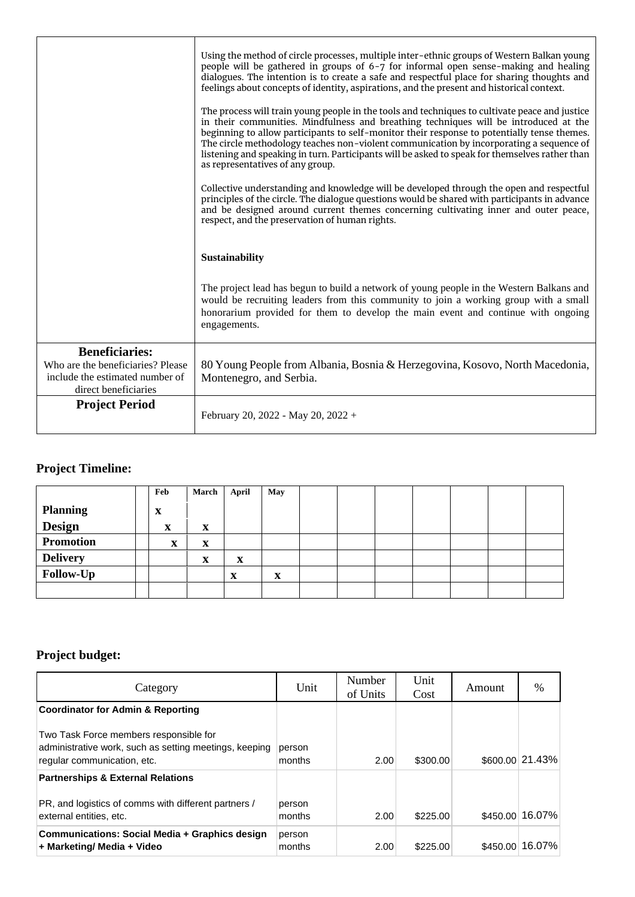|                                                            | Using the method of circle processes, multiple inter-ethnic groups of Western Balkan young<br>people will be gathered in groups of $6-7$ for informal open sense-making and healing<br>dialogues. The intention is to create a safe and respectful place for sharing thoughts and<br>feelings about concepts of identity, aspirations, and the present and historical context.<br>The process will train young people in the tools and techniques to cultivate peace and justice<br>in their communities. Mindfulness and breathing techniques will be introduced at the<br>beginning to allow participants to self-monitor their response to potentially tense themes. |
|------------------------------------------------------------|-------------------------------------------------------------------------------------------------------------------------------------------------------------------------------------------------------------------------------------------------------------------------------------------------------------------------------------------------------------------------------------------------------------------------------------------------------------------------------------------------------------------------------------------------------------------------------------------------------------------------------------------------------------------------|
|                                                            | The circle methodology teaches non-violent communication by incorporating a sequence of<br>listening and speaking in turn. Participants will be asked to speak for themselves rather than<br>as representatives of any group.                                                                                                                                                                                                                                                                                                                                                                                                                                           |
|                                                            | Collective understanding and knowledge will be developed through the open and respectful<br>principles of the circle. The dialogue questions would be shared with participants in advance<br>and be designed around current themes concerning cultivating inner and outer peace,<br>respect, and the preservation of human rights.                                                                                                                                                                                                                                                                                                                                      |
|                                                            | Sustainability                                                                                                                                                                                                                                                                                                                                                                                                                                                                                                                                                                                                                                                          |
|                                                            | The project lead has begun to build a network of young people in the Western Balkans and<br>would be recruiting leaders from this community to join a working group with a small<br>honorarium provided for them to develop the main event and continue with ongoing<br>engagements.                                                                                                                                                                                                                                                                                                                                                                                    |
| <b>Beneficiaries:</b><br>Who are the beneficiaries? Please | 80 Young People from Albania, Bosnia & Herzegovina, Kosovo, North Macedonia,                                                                                                                                                                                                                                                                                                                                                                                                                                                                                                                                                                                            |
| include the estimated number of<br>direct beneficiaries    | Montenegro, and Serbia.                                                                                                                                                                                                                                                                                                                                                                                                                                                                                                                                                                                                                                                 |
| <b>Project Period</b>                                      | February 20, 2022 - May 20, 2022 +                                                                                                                                                                                                                                                                                                                                                                                                                                                                                                                                                                                                                                      |

### **Project Timeline:**

|                  | Feb | March | <b>April</b> | May |  |  |  |  |
|------------------|-----|-------|--------------|-----|--|--|--|--|
| <b>Planning</b>  | X   |       |              |     |  |  |  |  |
| Design           | X   | X     |              |     |  |  |  |  |
| <b>Promotion</b> | X   | X     |              |     |  |  |  |  |
| <b>Delivery</b>  |     | X     | X            |     |  |  |  |  |
| Follow-Up        |     |       | $\mathbf x$  | X   |  |  |  |  |
|                  |     |       |              |     |  |  |  |  |

#### **Project budget:**

| Category                                                                                                                        | Unit             | Number<br>of Units | Unit<br>Cost | Amount   | $\%$                      |
|---------------------------------------------------------------------------------------------------------------------------------|------------------|--------------------|--------------|----------|---------------------------|
| <b>Coordinator for Admin &amp; Reporting</b>                                                                                    |                  |                    |              |          |                           |
| Two Task Force members responsible for<br>administrative work, such as setting meetings, keeping<br>regular communication, etc. | person<br>months | 2.00               | \$300.00     |          | $$600.00 \,   \, 21.43\%$ |
| <b>Partnerships &amp; External Relations</b>                                                                                    |                  |                    |              |          |                           |
| PR, and logistics of comms with different partners /<br>external entities, etc.                                                 | person<br>months | 2.00               | \$225.00     |          | \$450.00 16.07%           |
| Communications: Social Media + Graphics design<br>+ Marketing/ Media + Video                                                    | person<br>months | 2.00               | \$225.00     | \$450.00 | 16.07%                    |